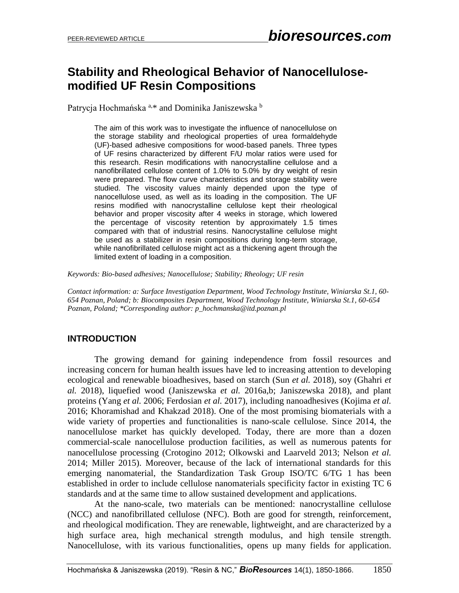# **Stability and Rheological Behavior of Nanocellulosemodified UF Resin Compositions**

Patrycja Hochmańska <sup>a,\*</sup> and Dominika Janiszewska <sup>b</sup>

The aim of this work was to investigate the influence of nanocellulose on the storage stability and rheological properties of urea formaldehyde (UF)-based adhesive compositions for wood-based panels. Three types of UF resins characterized by different F/U molar ratios were used for this research. Resin modifications with nanocrystalline cellulose and a nanofibrillated cellulose content of 1.0% to 5.0% by dry weight of resin were prepared. The flow curve characteristics and storage stability were studied. The viscosity values mainly depended upon the type of nanocellulose used, as well as its loading in the composition. The UF resins modified with nanocrystalline cellulose kept their rheological behavior and proper viscosity after 4 weeks in storage, which lowered the percentage of viscosity retention by approximately 1.5 times compared with that of industrial resins. Nanocrystalline cellulose might be used as a stabilizer in resin compositions during long-term storage, while nanofibrillated cellulose might act as a thickening agent through the limited extent of loading in a composition.

*Keywords: Bio-based adhesives; Nanocellulose; Stability; Rheology; UF resin*

*Contact information: a: Surface Investigation Department, Wood Technology Institute, Winiarska St.1, 60- 654 Poznan, Poland; b: Biocomposites Department, Wood Technology Institute, Winiarska St.1, 60-654 Poznan, Poland; \*Corresponding author: p\_hochmanska@itd.poznan.pl*

# **INTRODUCTION**

The growing demand for gaining independence from fossil resources and increasing concern for human health issues have led to increasing attention to developing ecological and renewable bioadhesives, based on starch (Sun *et al.* 2018), soy (Ghahri *et al.* 2018), liquefied wood (Janiszewska *et al.* 2016a,b; Janiszewska 2018), and plant proteins (Yang *et al.* 2006; Ferdosian *et al.* 2017), including nanoadhesives (Kojima *et al.*  2016; Khoramishad and Khakzad 2018). One of the most promising biomaterials with a wide variety of properties and functionalities is nano-scale cellulose. Since 2014, the nanocellulose market has quickly developed. Today, there are more than a dozen commercial-scale nanocellulose production facilities, as well as numerous patents for nanocellulose processing (Crotogino 2012; Olkowski and Laarveld 2013; Nelson *et al.* 2014; Miller 2015). Moreover, because of the lack of international standards for this emerging nanomaterial, the Standardization Task Group ISO/TC 6/TG 1 has been established in order to include cellulose nanomaterials specificity factor in existing TC 6 standards and at the same time to allow sustained development and applications.

At the nano-scale, two materials can be mentioned: nanocrystalline cellulose (NCC) and nanofibrillated cellulose (NFC). Both are good for strength, reinforcement, and rheological modification. They are renewable, lightweight, and are characterized by a high surface area, high mechanical strength modulus, and high tensile strength. Nanocellulose, with its various functionalities, opens up many fields for application.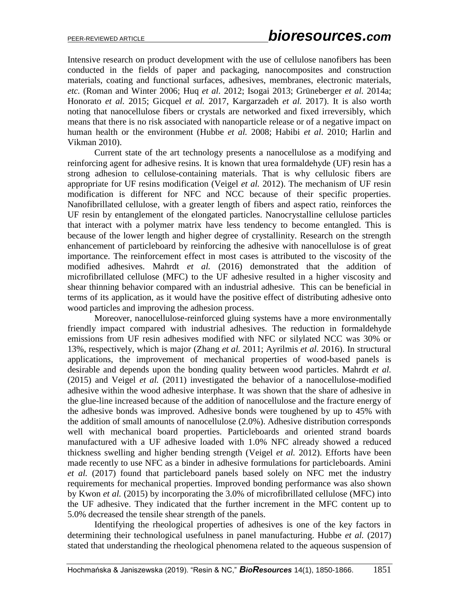Intensive research on product development with the use of cellulose nanofibers has been conducted in the fields of paper and packaging, nanocomposites and construction materials, coating and functional surfaces, adhesives, membranes, electronic materials, *etc.* (Roman and Winter 2006; Huq *et al.* 2012; Isogai 2013; Grüneberger *et al.* 2014a; Honorato *et al.* 2015; Gicquel *et al.* 2017, Kargarzadeh *et al.* 2017). It is also worth noting that nanocellulose fibers or crystals are networked and fixed irreversibly, which means that there is no risk associated with nanoparticle release or of a negative impact on human health or the environment (Hubbe *et al.* 2008; Habibi *et al*. 2010; Harlin and Vikman 2010).

Current state of the art technology presents a nanocellulose as a modifying and reinforcing agent for adhesive resins. It is known that urea formaldehyde (UF) resin has a strong adhesion to cellulose-containing materials. That is why cellulosic fibers are appropriate for UF resins modification (Veigel *et al.* 2012). The mechanism of UF resin modification is different for NFC and NCC because of their specific properties. Nanofibrillated cellulose, with a greater length of fibers and aspect ratio, reinforces the UF resin by entanglement of the elongated particles. Nanocrystalline cellulose particles that interact with a polymer matrix have less tendency to become entangled. This is because of the lower length and higher degree of crystallinity. Research on the strength enhancement of particleboard by reinforcing the adhesive with nanocellulose is of great importance. The reinforcement effect in most cases is attributed to the viscosity of the modified adhesives. Mahrdt *et al.* (2016) demonstrated that the addition of microfibrillated cellulose (MFC) to the UF adhesive resulted in a higher viscosity and shear thinning behavior compared with an industrial adhesive. This can be beneficial in terms of its application, as it would have the positive effect of distributing adhesive onto wood particles and improving the adhesion process.

Moreover, nanocellulose-reinforced gluing systems have a more environmentally friendly impact compared with industrial adhesives. The reduction in formaldehyde emissions from UF resin adhesives modified with NFC or silylated NCC was 30% or 13%, respectively, which is major (Zhang *et al.* 2011; Ayrilmis *et al.* 2016). In structural applications, the improvement of mechanical properties of wood-based panels is desirable and depends upon the bonding quality between wood particles. Mahrdt *et al.* (2015) and Veigel *et al.* (2011) investigated the behavior of a nanocellulose-modified adhesive within the wood adhesive interphase. It was shown that the share of adhesive in the glue-line increased because of the addition of nanocellulose and the fracture energy of the adhesive bonds was improved. Adhesive bonds were toughened by up to 45% with the addition of small amounts of nanocellulose (2.0%). Adhesive distribution corresponds well with mechanical board properties. Particleboards and oriented strand boards manufactured with a UF adhesive loaded with 1.0% NFC already showed a reduced thickness swelling and higher bending strength (Veigel *et al.* 2012). Efforts have been made recently to use NFC as a binder in adhesive formulations for particleboards. Amini *et al.* (2017) found that particleboard panels based solely on NFC met the industry requirements for mechanical properties. Improved bonding performance was also shown by Kwon *et al.* (2015) by incorporating the 3.0% of microfibrillated cellulose (MFC) into the UF adhesive. They indicated that the further increment in the MFC content up to 5.0% decreased the tensile shear strength of the panels.

Identifying the rheological properties of adhesives is one of the key factors in determining their technological usefulness in panel manufacturing. Hubbe *et al.* (2017) stated that understanding the rheological phenomena related to the aqueous suspension of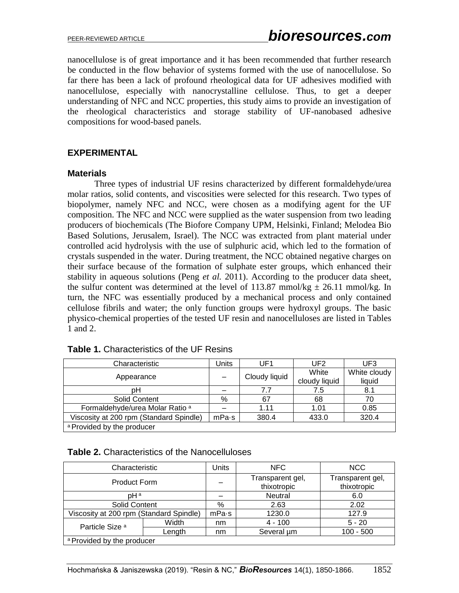nanocellulose is of great importance and it has been recommended that further research be conducted in the flow behavior of systems formed with the use of nanocellulose. So far there has been a lack of profound rheological data for UF adhesives modified with nanocellulose, especially with nanocrystalline cellulose. Thus, to get a deeper understanding of NFC and NCC properties, this study aims to provide an investigation of the rheological characteristics and storage stability of UF-nanobased adhesive compositions for wood-based panels.

## **EXPERIMENTAL**

#### **Materials**

Three types of industrial UF resins characterized by different formaldehyde/urea molar ratios, solid contents, and viscosities were selected for this research. Two types of biopolymer, namely NFC and NCC, were chosen as a modifying agent for the UF composition. The NFC and NCC were supplied as the water suspension from two leading producers of biochemicals (The Biofore Company UPM, Helsinki, Finland; Melodea Bio Based Solutions, Jerusalem, Israel). The NCC was extracted from plant material under controlled acid hydrolysis with the use of sulphuric acid, which led to the formation of crystals suspended in the water. During treatment, the NCC obtained negative charges on their surface because of the formation of sulphate ester groups, which enhanced their stability in aqueous solutions (Peng *et al.* 2011). According to the producer data sheet, the sulfur content was determined at the level of 113.87 mmol/kg  $\pm$  26.11 mmol/kg. In turn, the NFC was essentially produced by a mechanical process and only contained cellulose fibrils and water; the only function groups were hydroxyl groups. The basic physico-chemical properties of the tested UF resin and nanocelluloses are listed in Tables 1 and 2.

| Characteristic                             | Jnits | UF1           | UF2           | UF3          |
|--------------------------------------------|-------|---------------|---------------|--------------|
| Appearance                                 |       | Cloudy liquid | White         | White cloudy |
|                                            |       |               | cloudy liquid | liquid       |
| pН                                         |       | 7.7           | 7.5           | 8.1          |
| Solid Content                              | %     | 67            | 68            | 70           |
| Formaldehyde/urea Molar Ratio <sup>a</sup> |       | 1.11          | 1.01          | 0.85         |
| Viscosity at 200 rpm (Standard Spindle)    | mPa·s | 380.4         | 433.0         | 320.4        |
| a Provided by the producer                 |       |               |               |              |

#### **Table 2.** Characteristics of the Nanocelluloses

| Characteristic                          |        | Units | <b>NFC</b>                      | <b>NCC</b>                      |  |  |
|-----------------------------------------|--------|-------|---------------------------------|---------------------------------|--|--|
| Product Form                            |        |       | Transparent gel,<br>thixotropic | Transparent gel,<br>thixotropic |  |  |
| pH <sup>a</sup>                         |        |       | <b>Neutral</b>                  | 6.0                             |  |  |
| <b>Solid Content</b>                    |        | %     | 2.63                            | 2.02                            |  |  |
| Viscosity at 200 rpm (Standard Spindle) |        | mPa·s | 1230.0                          | 127.9                           |  |  |
| Particle Size <sup>a</sup>              | Width  | nm    | $4 - 100$                       | $5 - 20$                        |  |  |
|                                         | Lenath | nm    | Several um                      | $100 - 500$                     |  |  |
| a Provided by the producer              |        |       |                                 |                                 |  |  |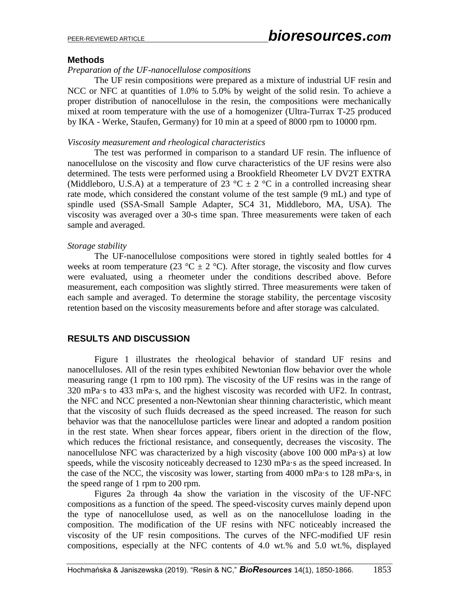### **Methods**

## *Preparation of the UF-nanocellulose compositions*

The UF resin compositions were prepared as a mixture of industrial UF resin and NCC or NFC at quantities of 1.0% to 5.0% by weight of the solid resin. To achieve a proper distribution of nanocellulose in the resin, the compositions were mechanically mixed at room temperature with the use of a homogenizer (Ultra-Turrax T-25 produced by IKA - Werke, Staufen, Germany) for 10 min at a speed of 8000 rpm to 10000 rpm.

#### *Viscosity measurement and rheological characteristics*

The test was performed in comparison to a standard UF resin. The influence of nanocellulose on the viscosity and flow curve characteristics of the UF resins were also determined. The tests were performed using a Brookfield Rheometer LV DV2T EXTRA (Middleboro, U.S.A) at a temperature of 23 °C  $\pm$  2 °C in a controlled increasing shear rate mode, which considered the constant volume of the test sample (9 mL) and type of spindle used (SSA-Small Sample Adapter, SC4 31, Middleboro, MA, USA). The viscosity was averaged over a 30-s time span. Three measurements were taken of each sample and averaged.

#### *Storage stability*

The UF-nanocellulose compositions were stored in tightly sealed bottles for 4 weeks at room temperature (23 °C  $\pm$  2 °C). After storage, the viscosity and flow curves were evaluated, using a rheometer under the conditions described above. Before measurement, each composition was slightly stirred. Three measurements were taken of each sample and averaged. To determine the storage stability, the percentage viscosity retention based on the viscosity measurements before and after storage was calculated.

# **RESULTS AND DISCUSSION**

Figure 1 illustrates the rheological behavior of standard UF resins and nanocelluloses. All of the resin types exhibited Newtonian flow behavior over the whole measuring range (1 rpm to 100 rpm). The viscosity of the UF resins was in the range of 320 mPa·s to 433 mPa·s, and the highest viscosity was recorded with UF2. In contrast, the NFC and NCC presented a non-Newtonian shear thinning characteristic, which meant that the viscosity of such fluids decreased as the speed increased. The reason for such behavior was that the nanocellulose particles were linear and adopted a random position in the rest state. When shear forces appear, fibers orient in the direction of the flow, which reduces the frictional resistance, and consequently, decreases the viscosity. The nanocellulose NFC was characterized by a high viscosity (above 100 000 mPa·s) at low speeds, while the viscosity noticeably decreased to 1230 mPa·s as the speed increased. In the case of the NCC, the viscosity was lower, starting from 4000 mPa·s to 128 mPa·s, in the speed range of 1 rpm to 200 rpm.

Figures 2a through 4a show the variation in the viscosity of the UF-NFC compositions as a function of the speed. The speed-viscosity curves mainly depend upon the type of nanocellulose used, as well as on the nanocellulose loading in the composition. The modification of the UF resins with NFC noticeably increased the viscosity of the UF resin compositions. The curves of the NFC-modified UF resin compositions, especially at the NFC contents of 4.0 wt.% and 5.0 wt.%, displayed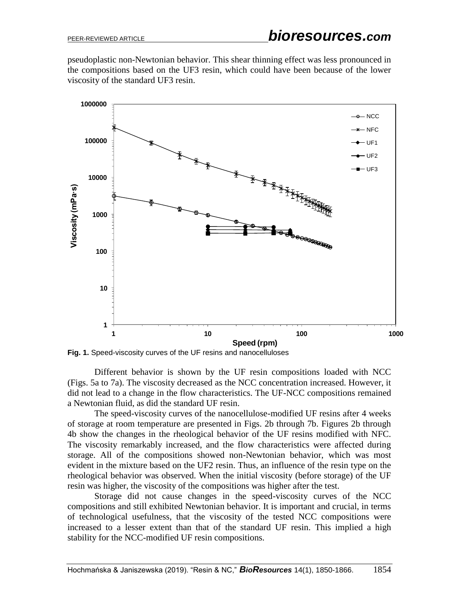pseudoplastic non-Newtonian behavior. This shear thinning effect was less pronounced in the compositions based on the UF3 resin, which could have been because of the lower viscosity of the standard UF3 resin.





Different behavior is shown by the UF resin compositions loaded with NCC (Figs. 5a to 7a). The viscosity decreased as the NCC concentration increased. However, it did not lead to a change in the flow characteristics. The UF-NCC compositions remained a Newtonian fluid, as did the standard UF resin.

The speed-viscosity curves of the nanocellulose-modified UF resins after 4 weeks of storage at room temperature are presented in Figs. 2b through 7b. Figures 2b through 4b show the changes in the rheological behavior of the UF resins modified with NFC. The viscosity remarkably increased, and the flow characteristics were affected during storage. All of the compositions showed non-Newtonian behavior, which was most evident in the mixture based on the UF2 resin. Thus, an influence of the resin type on the rheological behavior was observed. When the initial viscosity (before storage) of the UF resin was higher, the viscosity of the compositions was higher after the test.

Storage did not cause changes in the speed-viscosity curves of the NCC compositions and still exhibited Newtonian behavior. It is important and crucial, in terms of technological usefulness, that the viscosity of the tested NCC compositions were increased to a lesser extent than that of the standard UF resin. This implied a high stability for the NCC-modified UF resin compositions.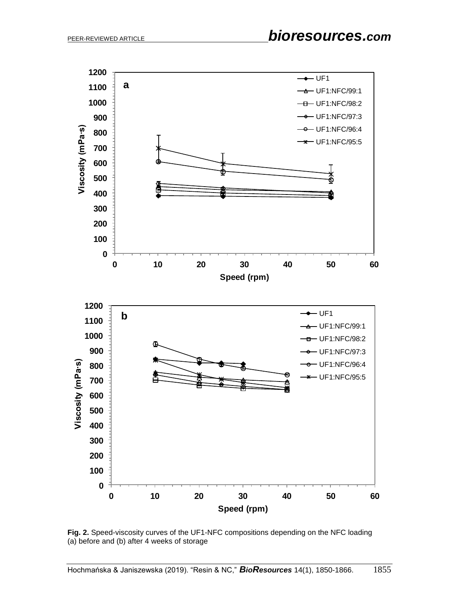

**Fig. 2.** Speed-viscosity curves of the UF1-NFC compositions depending on the NFC loading (a) before and (b) after 4 weeks of storage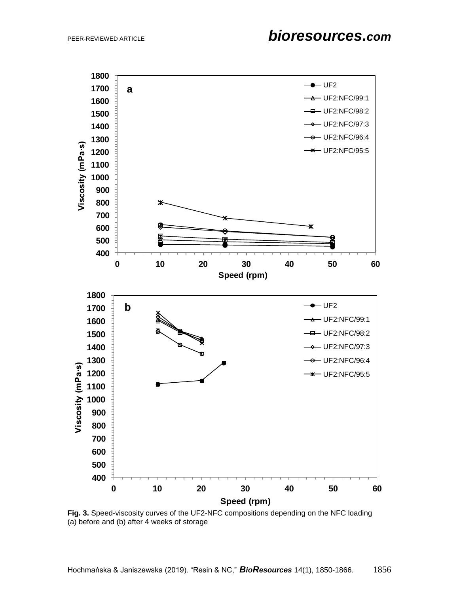

**Fig. 3.** Speed-viscosity curves of the UF2-NFC compositions depending on the NFC loading (a) before and (b) after 4 weeks of storage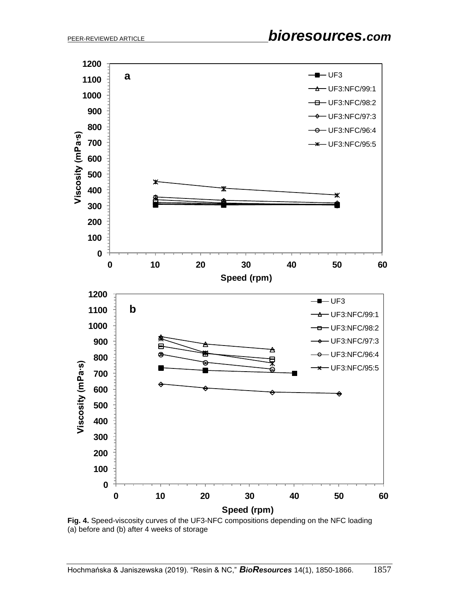

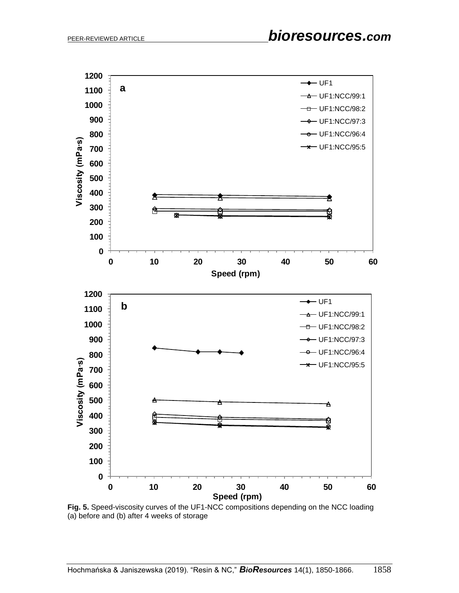

**Fig. 5.** Speed-viscosity curves of the UF1-NCC compositions depending on the NCC loading (a) before and (b) after 4 weeks of storage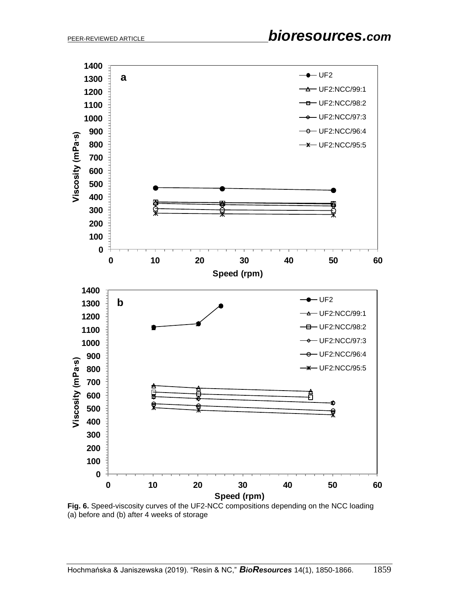

**Fig. 6.** Speed-viscosity curves of the UF2-NCC compositions depending on the NCC loading (a) before and (b) after 4 weeks of storage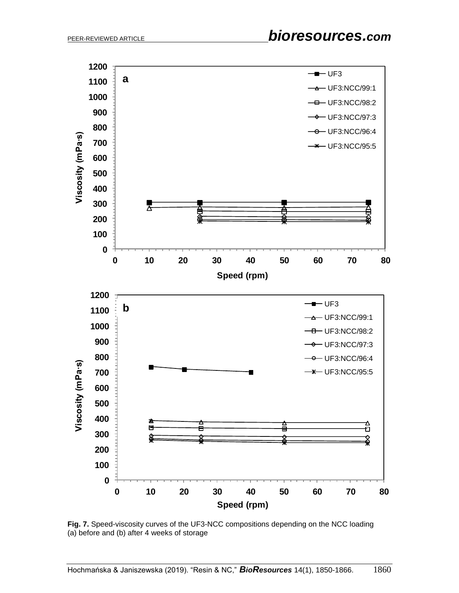

**Fig. 7.** Speed-viscosity curves of the UF3-NCC compositions depending on the NCC loading (a) before and (b) after 4 weeks of storage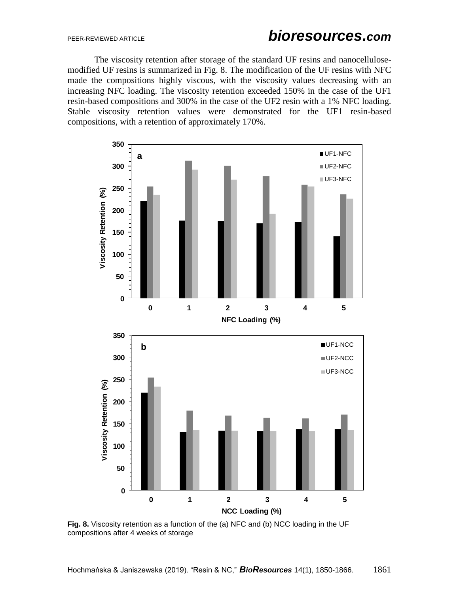The viscosity retention after storage of the standard UF resins and nanocellulosemodified UF resins is summarized in Fig. 8. The modification of the UF resins with NFC made the compositions highly viscous, with the viscosity values decreasing with an increasing NFC loading. The viscosity retention exceeded 150% in the case of the UF1 resin-based compositions and 300% in the case of the UF2 resin with a 1% NFC loading. Stable viscosity retention values were demonstrated for the UF1 resin-based compositions, with a retention of approximately 170%.



**Fig. 8.** Viscosity retention as a function of the (a) NFC and (b) NCC loading in the UF compositions after 4 weeks of storage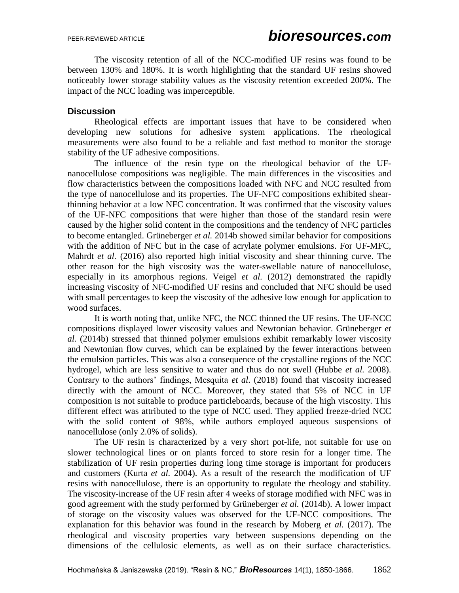The viscosity retention of all of the NCC-modified UF resins was found to be between 130% and 180%. It is worth highlighting that the standard UF resins showed noticeably lower storage stability values as the viscosity retention exceeded 200%. The impact of the NCC loading was imperceptible.

## **Discussion**

Rheological effects are important issues that have to be considered when developing new solutions for adhesive system applications. The rheological measurements were also found to be a reliable and fast method to monitor the storage stability of the UF adhesive compositions.

The influence of the resin type on the rheological behavior of the UFnanocellulose compositions was negligible. The main differences in the viscosities and flow characteristics between the compositions loaded with NFC and NCC resulted from the type of nanocellulose and its properties. The UF-NFC compositions exhibited shearthinning behavior at a low NFC concentration. It was confirmed that the viscosity values of the UF-NFC compositions that were higher than those of the standard resin were caused by the higher solid content in the compositions and the tendency of NFC particles to become entangled. Grüneberger *et al.* 2014b showed similar behavior for compositions with the addition of NFC but in the case of acrylate polymer emulsions. For UF-MFC, Mahrdt *et al.* (2016) also reported high initial viscosity and shear thinning curve. The other reason for the high viscosity was the water-swellable nature of nanocellulose, especially in its amorphous regions. Veigel *et al.* (2012) demonstrated the rapidly increasing viscosity of NFC-modified UF resins and concluded that NFC should be used with small percentages to keep the viscosity of the adhesive low enough for application to wood surfaces.

It is worth noting that, unlike NFC, the NCC thinned the UF resins. The UF-NCC compositions displayed lower viscosity values and Newtonian behavior. Grüneberger *et al.* (2014b) stressed that thinned polymer emulsions exhibit remarkably lower viscosity and Newtonian flow curves, which can be explained by the fewer interactions between the emulsion particles. This was also a consequence of the crystalline regions of the NCC hydrogel, which are less sensitive to water and thus do not swell (Hubbe *et al.* 2008). Contrary to the authors' findings, Mesquita *et al.* (2018) found that viscosity increased directly with the amount of NCC. Moreover, they stated that 5% of NCC in UF composition is not suitable to produce particleboards, because of the high viscosity. This different effect was attributed to the type of NCC used. They applied freeze-dried NCC with the solid content of 98%, while authors employed aqueous suspensions of nanocellulose (only 2.0% of solids).

The UF resin is characterized by a very short pot-life, not suitable for use on slower technological lines or on plants forced to store resin for a longer time. The stabilization of UF resin properties during long time storage is important for producers and customers (Kurta *et al.* 2004). As a result of the research the modification of UF resins with nanocellulose, there is an opportunity to regulate the rheology and stability. The viscosity-increase of the UF resin after 4 weeks of storage modified with NFC was in good agreement with the study performed by Grüneberger *et al.* (2014b). A lower impact of storage on the viscosity values was observed for the UF-NCC compositions. The explanation for this behavior was found in the research by Moberg *et al.* (2017). The rheological and viscosity properties vary between suspensions depending on the dimensions of the cellulosic elements, as well as on their surface characteristics.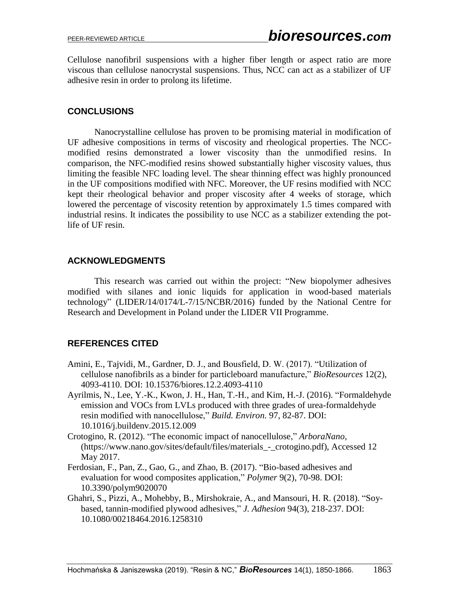Cellulose nanofibril suspensions with a higher fiber length or aspect ratio are more viscous than cellulose nanocrystal suspensions. Thus, NCC can act as a stabilizer of UF adhesive resin in order to prolong its lifetime.

# **CONCLUSIONS**

Nanocrystalline cellulose has proven to be promising material in modification of UF adhesive compositions in terms of viscosity and rheological properties. The NCCmodified resins demonstrated a lower viscosity than the unmodified resins. In comparison, the NFC-modified resins showed substantially higher viscosity values, thus limiting the feasible NFC loading level. The shear thinning effect was highly pronounced in the UF compositions modified with NFC. Moreover, the UF resins modified with NCC kept their rheological behavior and proper viscosity after 4 weeks of storage, which lowered the percentage of viscosity retention by approximately 1.5 times compared with industrial resins. It indicates the possibility to use NCC as a stabilizer extending the potlife of UF resin.

# **ACKNOWLEDGMENTS**

This research was carried out within the project: "New biopolymer adhesives modified with silanes and ionic liquids for application in wood-based materials technology" (LIDER/14/0174/L-7/15/NCBR/2016) funded by the National Centre for Research and Development in Poland under the LIDER VII Programme.

# **REFERENCES CITED**

- Amini, E., Tajvidi, M., Gardner, D. J., and Bousfield, D. W. (2017). "Utilization of cellulose nanofibrils as a binder for particleboard manufacture," *BioResources* 12(2), 4093-4110. DOI: 10.15376/biores.12.2.4093-4110
- Ayrilmis, N., Lee, Y.-K., Kwon, J. H., Han, T.-H., and Kim, H.-J. (2016). "Formaldehyde emission and VOCs from LVLs produced with three grades of urea-formaldehyde resin modified with nanocellulose," *Build. Environ.* 97, 82-87. DOI: 10.1016/j.buildenv.2015.12.009
- Crotogino, R. (2012). "The economic impact of nanocellulose," *ArboraNano*, (https://www.nano.gov/sites/default/files/materials\_-\_crotogino.pdf), Accessed 12 May 2017.
- Ferdosian, F., Pan, Z., Gao, G., and Zhao, B. (2017). "Bio-based adhesives and evaluation for wood composites application," *Polymer* 9(2), 70-98. DOI: 10.3390/polym9020070
- Ghahri, S., Pizzi, A., Mohebby, B., Mirshokraie, A., and Mansouri, H. R. (2018). "Soybased, tannin-modified plywood adhesives," *J. Adhesion* 94(3), 218-237. DOI: 10.1080/00218464.2016.1258310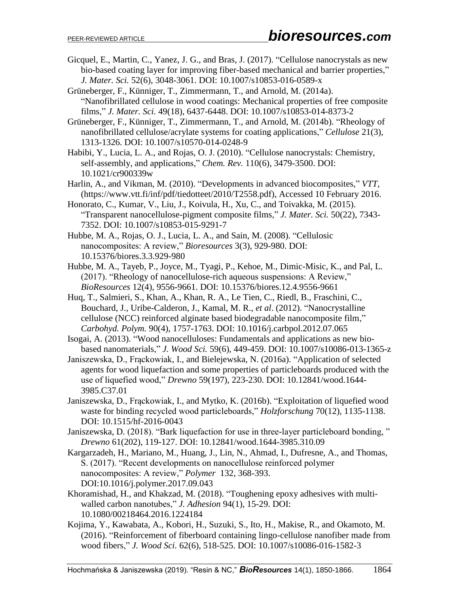- Gicquel, E., Martin, C., Yanez, J. G., and Bras, J. (2017). "Cellulose nanocrystals as new bio-based coating layer for improving fiber-based mechanical and barrier properties," *J. Mater. Sci.* 52(6), 3048-3061. DOI: 10.1007/s10853-016-0589-x
- Grüneberger, F., Künniger, T., Zimmermann, T., and Arnold, M. (2014a). "Nanofibrillated cellulose in wood coatings: Mechanical properties of free composite films," *J. Mater. Sci.* 49(18), 6437-6448. DOI: 10.1007/s10853-014-8373-2
- Grüneberger, F., Künniger, T., Zimmermann, T., and Arnold, M. (2014b). "Rheology of nanofibrillated cellulose/acrylate systems for coating applications," *Cellulose* 21(3), 1313-1326. DOI: 10.1007/s10570-014-0248-9
- Habibi, Y., Lucia, L. A., and Rojas, O. J. (2010). "Cellulose nanocrystals: Chemistry, self-assembly, and applications," *Chem. Rev.* 110(6), 3479-3500. DOI: 10.1021/cr900339w
- Harlin, A., and Vikman, M. (2010). "Developments in advanced biocomposites," *VTT*, (https://www.vtt.fi/inf/pdf/tiedotteet/2010/T2558.pdf), Accessed 10 February 2016.
- Honorato, C., Kumar, V., Liu, J., Koivula, H., Xu, C., and Toivakka, M. (2015). "Transparent nanocellulose-pigment composite films," *J. Mater. Sci.* 50(22), 7343- 7352. DOI: 10.1007/s10853-015-9291-7
- Hubbe, M. A., Rojas, O. J., Lucia, L. A., and Sain, M. (2008). "Cellulosic nanocomposites: A review," *Bioresources* 3(3), 929-980. DOI: 10.15376/biores.3.3.929-980
- Hubbe, M. A., Tayeb, P., Joyce, M., Tyagi, P., Kehoe, M., Dimic-Misic, K., and Pal, L. (2017). "Rheology of nanocellulose-rich aqueous suspensions: A Review," *BioResources* 12(4), 9556-9661. DOI: 10.15376/biores.12.4.9556-9661
- Huq, T., Salmieri, S., Khan, A., Khan, R. A., Le Tien, C., Riedl, B., Fraschini, C., Bouchard, J., Uribe-Calderon, J., Kamal, M. R., *et al*. (2012). "Nanocrystalline cellulose (NCC) reinforced alginate based biodegradable nanocomposite film," *Carbohyd. Polym.* 90(4), 1757-1763. DOI: 10.1016/j.carbpol.2012.07.065
- Isogai, A. (2013). "Wood nanocelluloses: Fundamentals and applications as new biobased nanomaterials," *J. Wood Sci.* 59(6), 449-459. DOI: 10.1007/s10086-013-1365-z
- Janiszewska, D., Frąckowiak, I., and Bielejewska, N. (2016a). "Application of selected agents for wood liquefaction and some properties of particleboards produced with the use of liquefied wood," *Drewno* 59(197), 223-230. DOI: 10.12841/wood.1644- 3985.C37.01
- Janiszewska, D., Frąckowiak, I., and Mytko, K. (2016b). "Exploitation of liquefied wood waste for binding recycled wood particleboards," *Holzforschung* 70(12), 1135-1138. DOI: 10.1515/hf-2016-0043
- Janiszewska, D. (2018). "Bark liquefaction for use in three-layer particleboard bonding, " *Drewno* 61(202), 119-127. DOI: 10.12841/wood.1644-3985.310.09
- Kargarzadeh, H., Mariano, M., Huang, J., Lin, N., Ahmad, I., Dufresne, A., and Thomas, S. (2017). "Recent developments on nanocellulose reinforced polymer nanocomposites: A review," *Polymer* 132, 368-393. DOI:10.1016/j.polymer.2017.09.043
- Khoramishad, H., and Khakzad, M. (2018). "Toughening epoxy adhesives with multiwalled carbon nanotubes," *J. Adhesion* 94(1), 15-29. DOI: 10.1080/00218464.2016.1224184
- Kojima, Y., Kawabata, A., Kobori, H., Suzuki, S., Ito, H., Makise, R., and Okamoto, M. (2016). "Reinforcement of fiberboard containing lingo-cellulose nanofiber made from wood fibers," *J. Wood Sci.* 62(6), 518-525. DOI: 10.1007/s10086-016-1582-3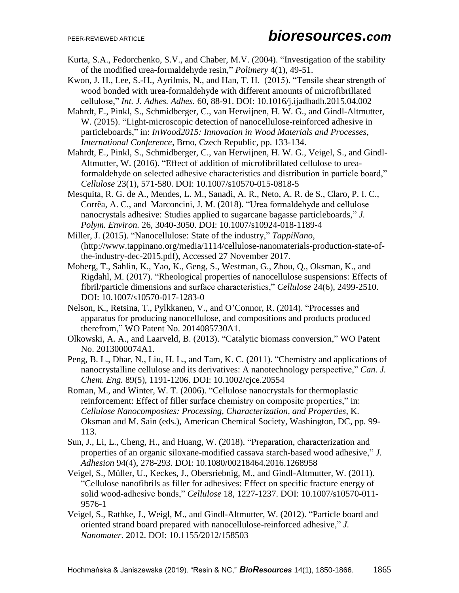- Kurta, S.A., Fedorchenko, S.V., and Chaber, M.V. (2004). "Investigation of the stability of the modified urea-formaldehyde resin," *Polimery* 4(1), 49-51.
- Kwon, J. H., Lee, S.-H., Ayrilmis, N., and Han, T. H. (2015). "Tensile shear strength of wood bonded with urea-formaldehyde with different amounts of microfibrillated cellulose," *Int. J. Adhes. Adhes.* 60, 88-91. DOI: 10.1016/j.ijadhadh.2015.04.002
- Mahrdt, E., Pinkl, S., Schmidberger, C., van Herwijnen, H. W. G., and Gindl-Altmutter, W. (2015). "Light-microscopic detection of nanocellulose-reinforced adhesive in particleboards," in: *InWood2015: Innovation in Wood Materials and Processes, International Conference*, Brno, Czech Republic, pp. 133-134.
- Mahrdt, E., Pinkl, S., Schmidberger, C., van Herwijnen, H. W. G., Veigel, S., and Gindl-Altmutter, W. (2016). "Effect of addition of microfibrillated cellulose to ureaformaldehyde on selected adhesive characteristics and distribution in particle board," *Cellulose* 23(1), 571-580. DOI: 10.1007/s10570-015-0818-5
- Mesquita, R. G. de A., Mendes, L. M., Sanadi, A. R., Neto, A. R. de S., Claro, P. I. C., Corrêa, A. C., and Marconcini, J. M. (2018). "Urea formaldehyde and cellulose nanocrystals adhesive: Studies applied to sugarcane bagasse particleboards," *J. Polym. Environ.* 26, 3040-3050. DOI: 10.1007/s10924-018-1189-4
- Miller, J. (2015). "Nanocellulose: State of the industry," *TappiNano*, (http://www.tappinano.org/media/1114/cellulose-nanomaterials-production-state-ofthe-industry-dec-2015.pdf), Accessed 27 November 2017.
- Moberg, T., Sahlin, K., Yao, K., Geng, S., Westman, G., Zhou, Q., Oksman, K., and Rigdahl, M. (2017). "Rheological properties of nanocellulose suspensions: Effects of fibril/particle dimensions and surface characteristics," *Cellulose* 24(6), 2499-2510. DOI: 10.1007/s10570-017-1283-0
- Nelson, K., Retsina, T., Pylkkanen, V., and O'Connor, R. (2014). "Processes and apparatus for producing nanocellulose, and compositions and products produced therefrom," WO Patent No. 2014085730A1.
- Olkowski, A. A., and Laarveld, B. (2013). "Catalytic biomass conversion," WO Patent No. 2013000074A1.
- Peng, B. L., Dhar, N., Liu, H. L., and Tam, K. C. (2011). "Chemistry and applications of nanocrystalline cellulose and its derivatives: A nanotechnology perspective," *Can. J. Chem. Eng.* 89(5), 1191-1206. DOI: 10.1002/cjce.20554
- Roman, M., and Winter, W. T. (2006). "Cellulose nanocrystals for thermoplastic reinforcement: Effect of filler surface chemistry on composite properties," in: *Cellulose Nanocomposites: Processing, Characterization, and Properties*, K. Oksman and M. Sain (eds.), American Chemical Society, Washington, DC, pp. 99- 113.
- Sun, J., Li, L., Cheng, H., and Huang, W. (2018). "Preparation, characterization and properties of an organic siloxane-modified cassava starch-based wood adhesive," *J. Adhesion* 94(4), 278-293. DOI: 10.1080/00218464.2016.1268958
- Veigel, S., Müller, U., Keckes, J., Obersriebnig, M., and Gindl-Altmutter, W. (2011). "Cellulose nanofibrils as filler for adhesives: Effect on specific fracture energy of solid wood-adhesive bonds," *Cellulose* 18, 1227-1237. DOI: 10.1007/s10570-011- 9576-1
- Veigel, S., Rathke, J., Weigl, M., and Gindl-Altmutter, W. (2012). "Particle board and oriented strand board prepared with nanocellulose-reinforced adhesive," *J. Nanomater.* 2012. DOI: 10.1155/2012/158503